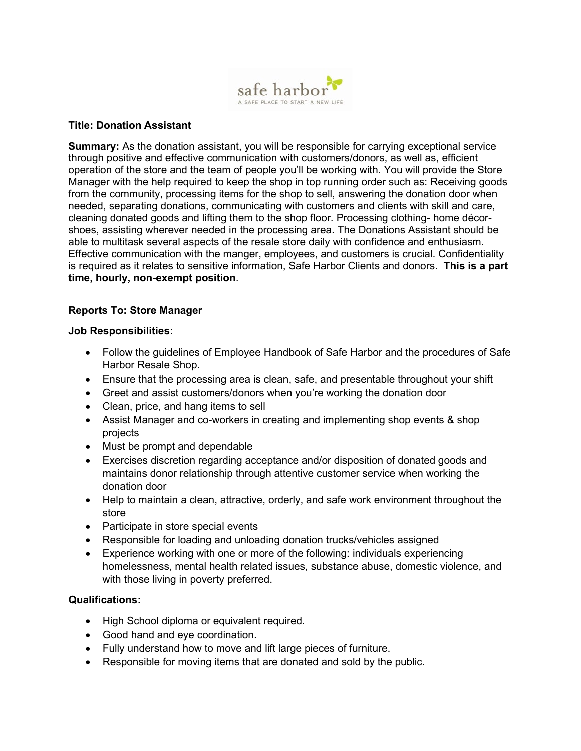

## **Title: Donation Assistant**

**Summary:** As the donation assistant, you will be responsible for carrying exceptional service through positive and effective communication with customers/donors, as well as, efficient operation of the store and the team of people you'll be working with. You will provide the Store Manager with the help required to keep the shop in top running order such as: Receiving goods from the community, processing items for the shop to sell, answering the donation door when needed, separating donations, communicating with customers and clients with skill and care, cleaning donated goods and lifting them to the shop floor. Processing clothing- home décorshoes, assisting wherever needed in the processing area. The Donations Assistant should be able to multitask several aspects of the resale store daily with confidence and enthusiasm. Effective communication with the manger, employees, and customers is crucial. Confidentiality is required as it relates to sensitive information, Safe Harbor Clients and donors. **This is a part time, hourly, non-exempt position**.

## **Reports To: Store Manager**

## **Job Responsibilities:**

- Follow the guidelines of Employee Handbook of Safe Harbor and the procedures of Safe Harbor Resale Shop.
- Ensure that the processing area is clean, safe, and presentable throughout your shift
- Greet and assist customers/donors when you're working the donation door
- Clean, price, and hang items to sell
- Assist Manager and co-workers in creating and implementing shop events & shop projects
- Must be prompt and dependable
- Exercises discretion regarding acceptance and/or disposition of donated goods and maintains donor relationship through attentive customer service when working the donation door
- Help to maintain a clean, attractive, orderly, and safe work environment throughout the store
- Participate in store special events
- Responsible for loading and unloading donation trucks/vehicles assigned
- Experience working with one or more of the following: individuals experiencing homelessness, mental health related issues, substance abuse, domestic violence, and with those living in poverty preferred.

## **Qualifications:**

- High School diploma or equivalent required.
- Good hand and eye coordination.
- Fully understand how to move and lift large pieces of furniture.
- Responsible for moving items that are donated and sold by the public.